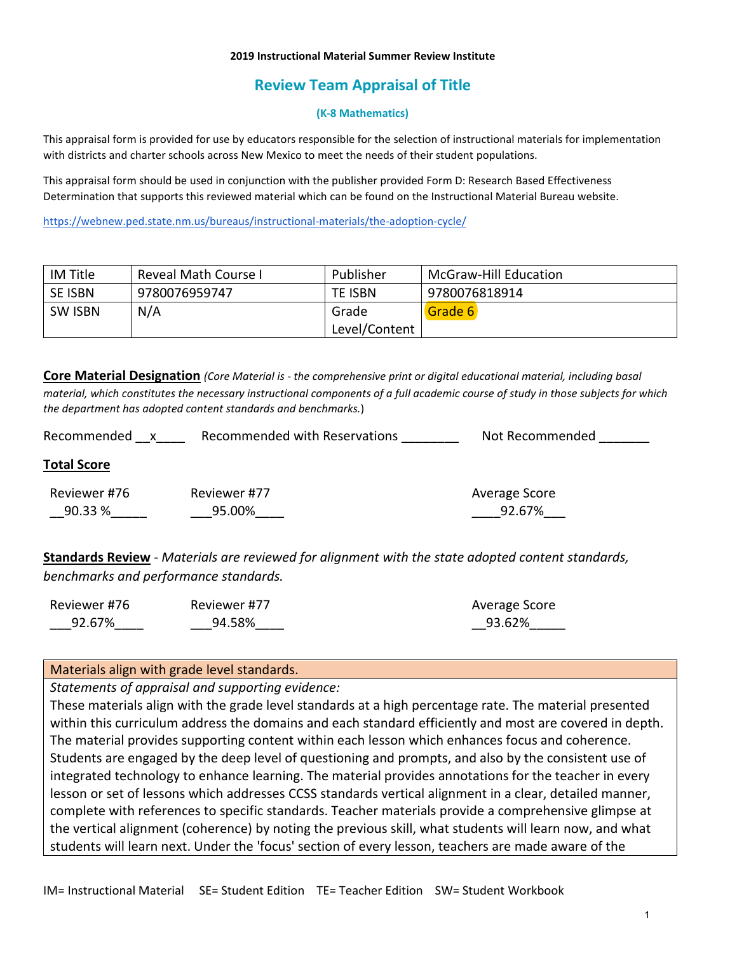### **2019 Instructional Material Summer Review Institute**

# **Review Team Appraisal of Title**

### **(K-8 Mathematics)**

This appraisal form is provided for use by educators responsible for the selection of instructional materials for implementation with districts and charter schools across New Mexico to meet the needs of their student populations.

This appraisal form should be used in conjunction with the publisher provided Form D: Research Based Effectiveness Determination that supports this reviewed material which can be found on the Instructional Material Bureau website.

<https://webnew.ped.state.nm.us/bureaus/instructional-materials/the-adoption-cycle/>

| IM Title       | Reveal Math Course I | Publisher      | McGraw-Hill Education |
|----------------|----------------------|----------------|-----------------------|
| <b>SE ISBN</b> | 9780076959747        | <b>TE ISBN</b> | 9780076818914         |
| <b>SW ISBN</b> | N/A                  | Grade          | Grade 6               |
|                |                      | Level/Content  |                       |

**Core Material Designation** *(Core Material is - the comprehensive print or digital educational material, including basal material, which constitutes the necessary instructional components of a full academic course of study in those subjects for which the department has adopted content standards and benchmarks.*)

| Recommended             | Recommended with Reservations | Not Recommended         |
|-------------------------|-------------------------------|-------------------------|
| <b>Total Score</b>      |                               |                         |
| Reviewer #76<br>90.33 % | Reviewer #77<br>95.00%        | Average Score<br>92.67% |

**Standards Review** - *Materials are reviewed for alignment with the state adopted content standards, benchmarks and performance standards.*

| Reviewer #76 | Reviewer #77 | Average Score |
|--------------|--------------|---------------|
| 92.67%       | 94.58%       | 93.62%        |

### Materials align with grade level standards.

*Statements of appraisal and supporting evidence:*

These materials align with the grade level standards at a high percentage rate. The material presented within this curriculum address the domains and each standard efficiently and most are covered in depth. The material provides supporting content within each lesson which enhances focus and coherence. Students are engaged by the deep level of questioning and prompts, and also by the consistent use of integrated technology to enhance learning. The material provides annotations for the teacher in every lesson or set of lessons which addresses CCSS standards vertical alignment in a clear, detailed manner, complete with references to specific standards. Teacher materials provide a comprehensive glimpse at the vertical alignment (coherence) by noting the previous skill, what students will learn now, and what students will learn next. Under the 'focus' section of every lesson, teachers are made aware of the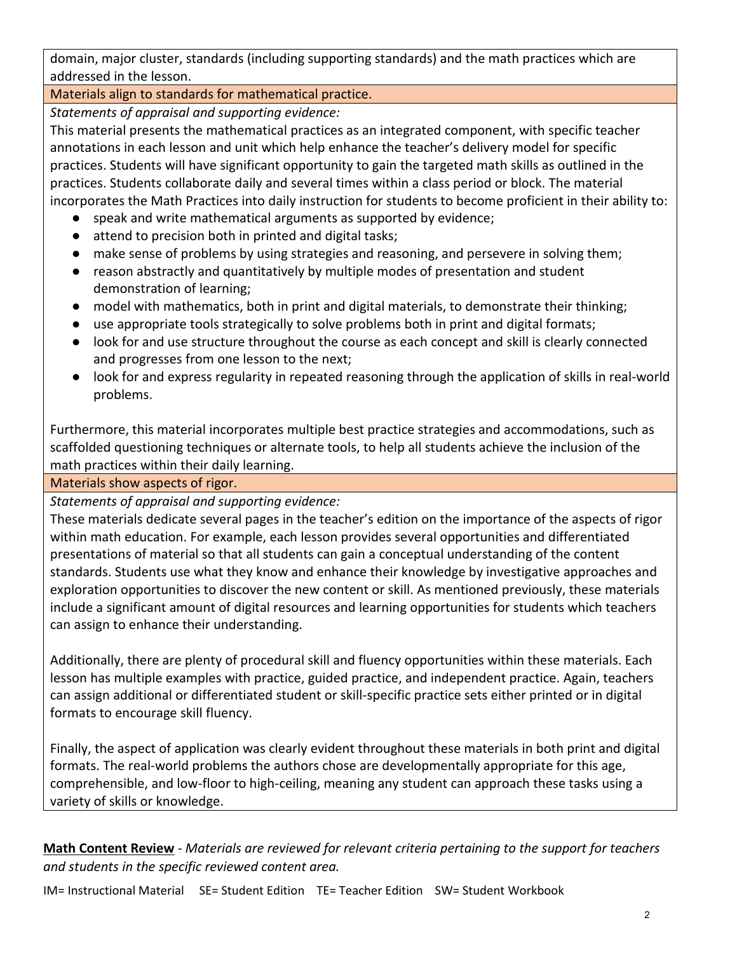domain, major cluster, standards (including supporting standards) and the math practices which are addressed in the lesson.

# Materials align to standards for mathematical practice.

*Statements of appraisal and supporting evidence:*

This material presents the mathematical practices as an integrated component, with specific teacher annotations in each lesson and unit which help enhance the teacher's delivery model for specific practices. Students will have significant opportunity to gain the targeted math skills as outlined in the practices. Students collaborate daily and several times within a class period or block. The material incorporates the Math Practices into daily instruction for students to become proficient in their ability to:

- speak and write mathematical arguments as supported by evidence;
- attend to precision both in printed and digital tasks;
- make sense of problems by using strategies and reasoning, and persevere in solving them;
- reason abstractly and quantitatively by multiple modes of presentation and student demonstration of learning;
- model with mathematics, both in print and digital materials, to demonstrate their thinking;
- use appropriate tools strategically to solve problems both in print and digital formats;
- look for and use structure throughout the course as each concept and skill is clearly connected and progresses from one lesson to the next;
- look for and express regularity in repeated reasoning through the application of skills in real-world problems.

Furthermore, this material incorporates multiple best practice strategies and accommodations, such as scaffolded questioning techniques or alternate tools, to help all students achieve the inclusion of the math practices within their daily learning.

Materials show aspects of rigor.

*Statements of appraisal and supporting evidence:*

These materials dedicate several pages in the teacher's edition on the importance of the aspects of rigor within math education. For example, each lesson provides several opportunities and differentiated presentations of material so that all students can gain a conceptual understanding of the content standards. Students use what they know and enhance their knowledge by investigative approaches and exploration opportunities to discover the new content or skill. As mentioned previously, these materials include a significant amount of digital resources and learning opportunities for students which teachers can assign to enhance their understanding.

Additionally, there are plenty of procedural skill and fluency opportunities within these materials. Each lesson has multiple examples with practice, guided practice, and independent practice. Again, teachers can assign additional or differentiated student or skill-specific practice sets either printed or in digital formats to encourage skill fluency.

Finally, the aspect of application was clearly evident throughout these materials in both print and digital formats. The real-world problems the authors chose are developmentally appropriate for this age, comprehensible, and low-floor to high-ceiling, meaning any student can approach these tasks using a variety of skills or knowledge.

**Math Content Review** - *Materials are reviewed for relevant criteria pertaining to the support for teachers and students in the specific reviewed content area.*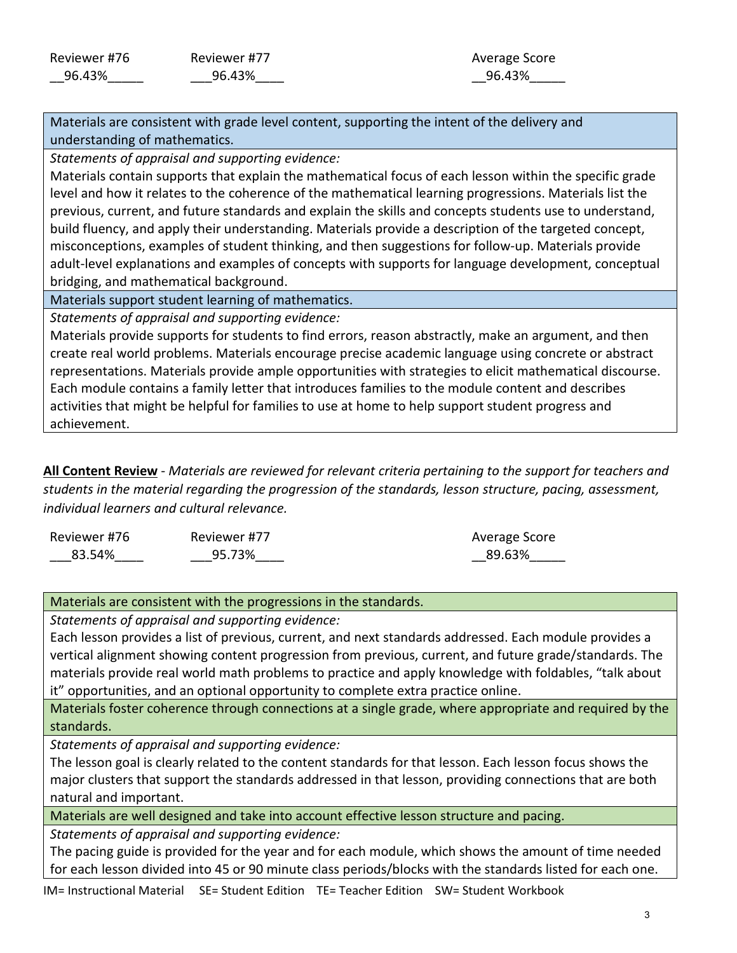## Average Score \_\_96.43%\_\_\_\_\_

Materials are consistent with grade level content, supporting the intent of the delivery and understanding of mathematics.

*Statements of appraisal and supporting evidence:*

Materials contain supports that explain the mathematical focus of each lesson within the specific grade level and how it relates to the coherence of the mathematical learning progressions. Materials list the previous, current, and future standards and explain the skills and concepts students use to understand, build fluency, and apply their understanding. Materials provide a description of the targeted concept, misconceptions, examples of student thinking, and then suggestions for follow-up. Materials provide adult-level explanations and examples of concepts with supports for language development, conceptual bridging, and mathematical background.

Materials support student learning of mathematics.

*Statements of appraisal and supporting evidence:*

Materials provide supports for students to find errors, reason abstractly, make an argument, and then create real world problems. Materials encourage precise academic language using concrete or abstract representations. Materials provide ample opportunities with strategies to elicit mathematical discourse. Each module contains a family letter that introduces families to the module content and describes activities that might be helpful for families to use at home to help support student progress and achievement.

**All Content Review** - *Materials are reviewed for relevant criteria pertaining to the support for teachers and students in the material regarding the progression of the standards, lesson structure, pacing, assessment, individual learners and cultural relevance.*

| Reviewer #76 | Reviewer #77 | Average Score |
|--------------|--------------|---------------|
| 83.54%       | 95.73%       | 89.63%        |

## Materials are consistent with the progressions in the standards.

*Statements of appraisal and supporting evidence:*

Each lesson provides a list of previous, current, and next standards addressed. Each module provides a vertical alignment showing content progression from previous, current, and future grade/standards. The materials provide real world math problems to practice and apply knowledge with foldables, "talk about it" opportunities, and an optional opportunity to complete extra practice online.

Materials foster coherence through connections at a single grade, where appropriate and required by the standards.

*Statements of appraisal and supporting evidence:*

The lesson goal is clearly related to the content standards for that lesson. Each lesson focus shows the major clusters that support the standards addressed in that lesson, providing connections that are both natural and important.

Materials are well designed and take into account effective lesson structure and pacing.

*Statements of appraisal and supporting evidence:*

The pacing guide is provided for the year and for each module, which shows the amount of time needed for each lesson divided into 45 or 90 minute class periods/blocks with the standards listed for each one.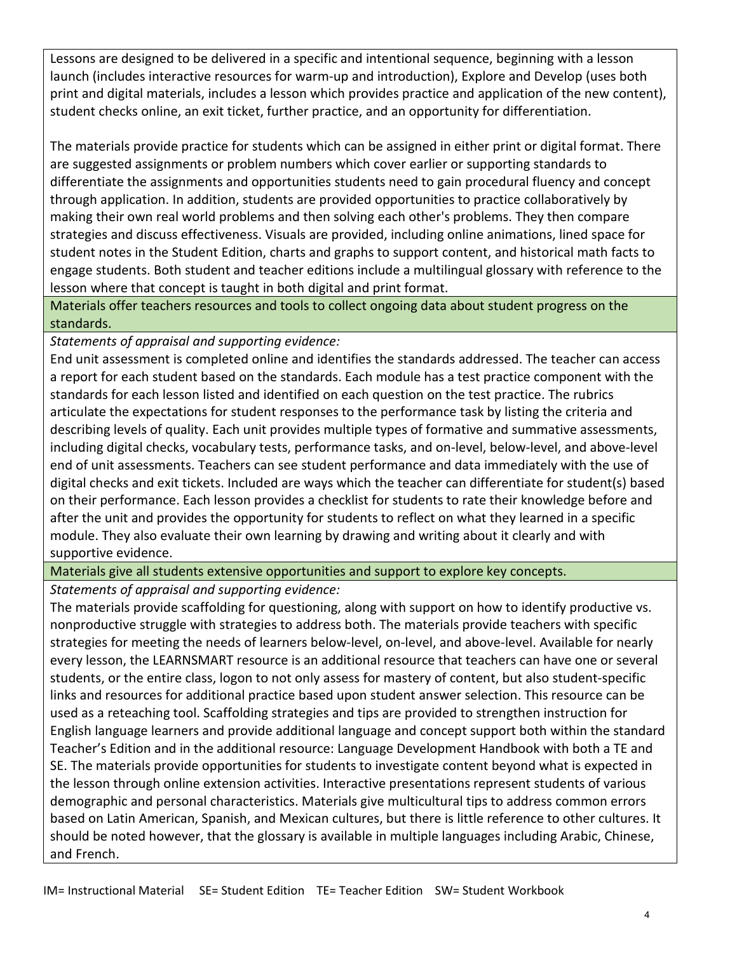Lessons are designed to be delivered in a specific and intentional sequence, beginning with a lesson launch (includes interactive resources for warm-up and introduction), Explore and Develop (uses both print and digital materials, includes a lesson which provides practice and application of the new content), student checks online, an exit ticket, further practice, and an opportunity for differentiation.

The materials provide practice for students which can be assigned in either print or digital format. There are suggested assignments or problem numbers which cover earlier or supporting standards to differentiate the assignments and opportunities students need to gain procedural fluency and concept through application. In addition, students are provided opportunities to practice collaboratively by making their own real world problems and then solving each other's problems. They then compare strategies and discuss effectiveness. Visuals are provided, including online animations, lined space for student notes in the Student Edition, charts and graphs to support content, and historical math facts to engage students. Both student and teacher editions include a multilingual glossary with reference to the lesson where that concept is taught in both digital and print format.

Materials offer teachers resources and tools to collect ongoing data about student progress on the standards.

*Statements of appraisal and supporting evidence:*

End unit assessment is completed online and identifies the standards addressed. The teacher can access a report for each student based on the standards. Each module has a test practice component with the standards for each lesson listed and identified on each question on the test practice. The rubrics articulate the expectations for student responses to the performance task by listing the criteria and describing levels of quality. Each unit provides multiple types of formative and summative assessments, including digital checks, vocabulary tests, performance tasks, and on-level, below-level, and above-level end of unit assessments. Teachers can see student performance and data immediately with the use of digital checks and exit tickets. Included are ways which the teacher can differentiate for student(s) based on their performance. Each lesson provides a checklist for students to rate their knowledge before and after the unit and provides the opportunity for students to reflect on what they learned in a specific module. They also evaluate their own learning by drawing and writing about it clearly and with supportive evidence.

Materials give all students extensive opportunities and support to explore key concepts.

## *Statements of appraisal and supporting evidence:*

The materials provide scaffolding for questioning, along with support on how to identify productive vs. nonproductive struggle with strategies to address both. The materials provide teachers with specific strategies for meeting the needs of learners below-level, on-level, and above-level. Available for nearly every lesson, the LEARNSMART resource is an additional resource that teachers can have one or several students, or the entire class, logon to not only assess for mastery of content, but also student-specific links and resources for additional practice based upon student answer selection. This resource can be used as a reteaching tool. Scaffolding strategies and tips are provided to strengthen instruction for English language learners and provide additional language and concept support both within the standard Teacher's Edition and in the additional resource: Language Development Handbook with both a TE and SE. The materials provide opportunities for students to investigate content beyond what is expected in the lesson through online extension activities. Interactive presentations represent students of various demographic and personal characteristics. Materials give multicultural tips to address common errors based on Latin American, Spanish, and Mexican cultures, but there is little reference to other cultures. It should be noted however, that the glossary is available in multiple languages including Arabic, Chinese, and French.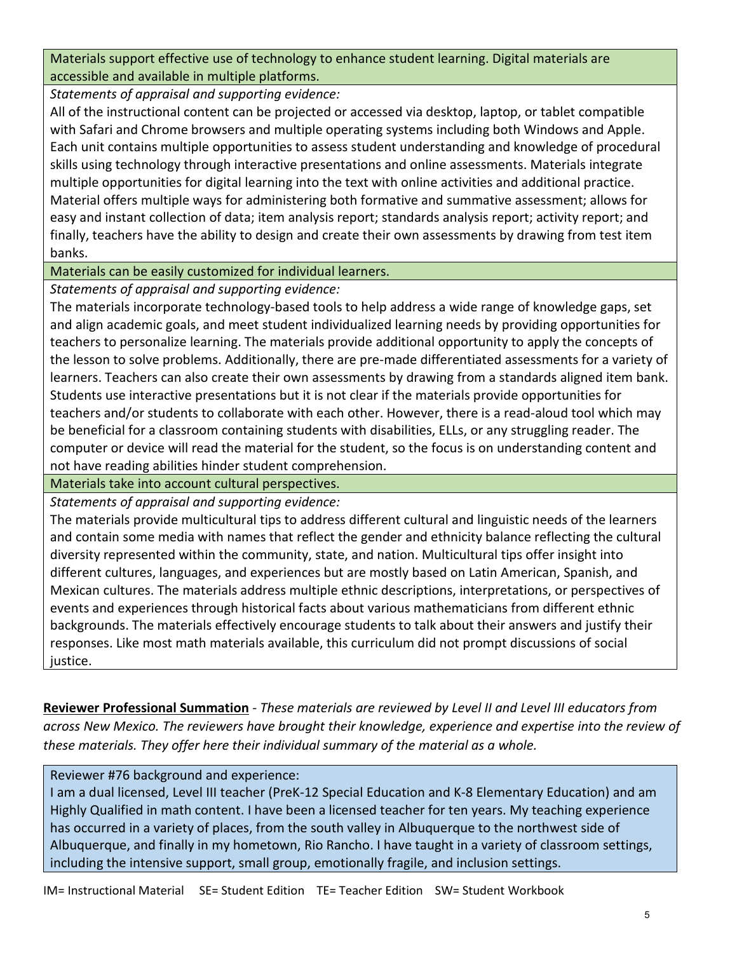Materials support effective use of technology to enhance student learning. Digital materials are accessible and available in multiple platforms.

*Statements of appraisal and supporting evidence:*

All of the instructional content can be projected or accessed via desktop, laptop, or tablet compatible with Safari and Chrome browsers and multiple operating systems including both Windows and Apple. Each unit contains multiple opportunities to assess student understanding and knowledge of procedural skills using technology through interactive presentations and online assessments. Materials integrate multiple opportunities for digital learning into the text with online activities and additional practice. Material offers multiple ways for administering both formative and summative assessment; allows for easy and instant collection of data; item analysis report; standards analysis report; activity report; and finally, teachers have the ability to design and create their own assessments by drawing from test item banks.

Materials can be easily customized for individual learners.

*Statements of appraisal and supporting evidence:*

The materials incorporate technology-based tools to help address a wide range of knowledge gaps, set and align academic goals, and meet student individualized learning needs by providing opportunities for teachers to personalize learning. The materials provide additional opportunity to apply the concepts of the lesson to solve problems. Additionally, there are pre-made differentiated assessments for a variety of learners. Teachers can also create their own assessments by drawing from a standards aligned item bank. Students use interactive presentations but it is not clear if the materials provide opportunities for teachers and/or students to collaborate with each other. However, there is a read-aloud tool which may be beneficial for a classroom containing students with disabilities, ELLs, or any struggling reader. The computer or device will read the material for the student, so the focus is on understanding content and not have reading abilities hinder student comprehension.

Materials take into account cultural perspectives.

*Statements of appraisal and supporting evidence:*

The materials provide multicultural tips to address different cultural and linguistic needs of the learners and contain some media with names that reflect the gender and ethnicity balance reflecting the cultural diversity represented within the community, state, and nation. Multicultural tips offer insight into different cultures, languages, and experiences but are mostly based on Latin American, Spanish, and Mexican cultures. The materials address multiple ethnic descriptions, interpretations, or perspectives of events and experiences through historical facts about various mathematicians from different ethnic backgrounds. The materials effectively encourage students to talk about their answers and justify their responses. Like most math materials available, this curriculum did not prompt discussions of social justice.

**Reviewer Professional Summation** - *These materials are reviewed by Level II and Level III educators from across New Mexico. The reviewers have brought their knowledge, experience and expertise into the review of these materials. They offer here their individual summary of the material as a whole.* 

Reviewer #76 background and experience:

I am a dual licensed, Level III teacher (PreK-12 Special Education and K-8 Elementary Education) and am Highly Qualified in math content. I have been a licensed teacher for ten years. My teaching experience has occurred in a variety of places, from the south valley in Albuquerque to the northwest side of Albuquerque, and finally in my hometown, Rio Rancho. I have taught in a variety of classroom settings, including the intensive support, small group, emotionally fragile, and inclusion settings.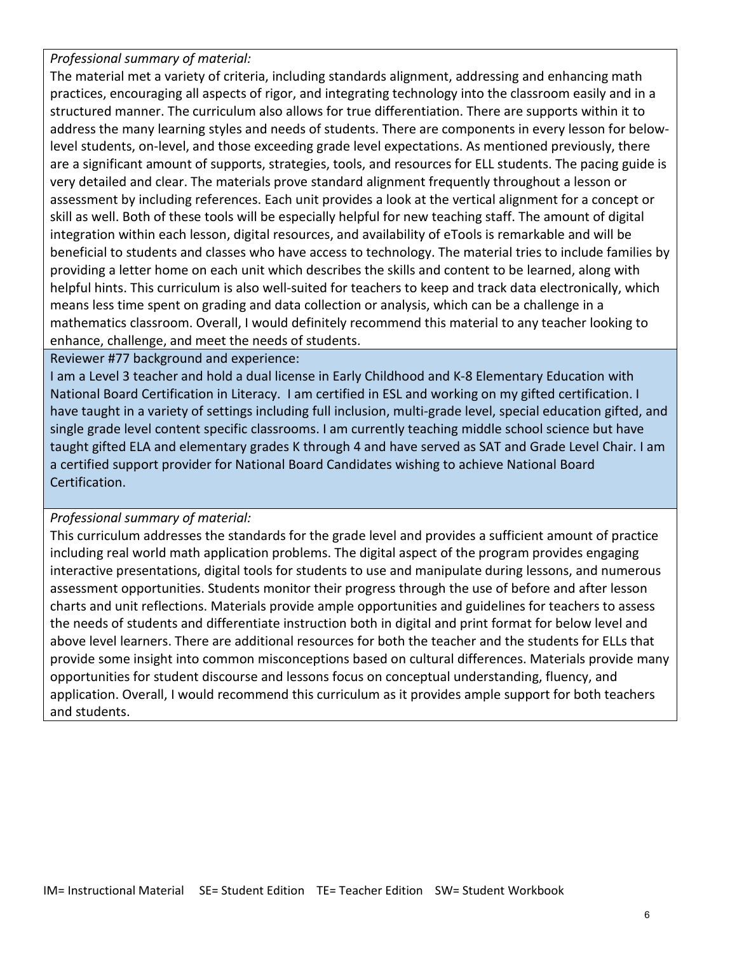*Professional summary of material:*

The material met a variety of criteria, including standards alignment, addressing and enhancing math practices, encouraging all aspects of rigor, and integrating technology into the classroom easily and in a structured manner. The curriculum also allows for true differentiation. There are supports within it to address the many learning styles and needs of students. There are components in every lesson for belowlevel students, on-level, and those exceeding grade level expectations. As mentioned previously, there are a significant amount of supports, strategies, tools, and resources for ELL students. The pacing guide is very detailed and clear. The materials prove standard alignment frequently throughout a lesson or assessment by including references. Each unit provides a look at the vertical alignment for a concept or skill as well. Both of these tools will be especially helpful for new teaching staff. The amount of digital integration within each lesson, digital resources, and availability of eTools is remarkable and will be beneficial to students and classes who have access to technology. The material tries to include families by providing a letter home on each unit which describes the skills and content to be learned, along with helpful hints. This curriculum is also well-suited for teachers to keep and track data electronically, which means less time spent on grading and data collection or analysis, which can be a challenge in a mathematics classroom. Overall, I would definitely recommend this material to any teacher looking to enhance, challenge, and meet the needs of students.

Reviewer #77 background and experience:

I am a Level 3 teacher and hold a dual license in Early Childhood and K-8 Elementary Education with National Board Certification in Literacy. I am certified in ESL and working on my gifted certification. I have taught in a variety of settings including full inclusion, multi-grade level, special education gifted, and single grade level content specific classrooms. I am currently teaching middle school science but have taught gifted ELA and elementary grades K through 4 and have served as SAT and Grade Level Chair. I am a certified support provider for National Board Candidates wishing to achieve National Board Certification.

## *Professional summary of material:*

This curriculum addresses the standards for the grade level and provides a sufficient amount of practice including real world math application problems. The digital aspect of the program provides engaging interactive presentations, digital tools for students to use and manipulate during lessons, and numerous assessment opportunities. Students monitor their progress through the use of before and after lesson charts and unit reflections. Materials provide ample opportunities and guidelines for teachers to assess the needs of students and differentiate instruction both in digital and print format for below level and above level learners. There are additional resources for both the teacher and the students for ELLs that provide some insight into common misconceptions based on cultural differences. Materials provide many opportunities for student discourse and lessons focus on conceptual understanding, fluency, and application. Overall, I would recommend this curriculum as it provides ample support for both teachers and students.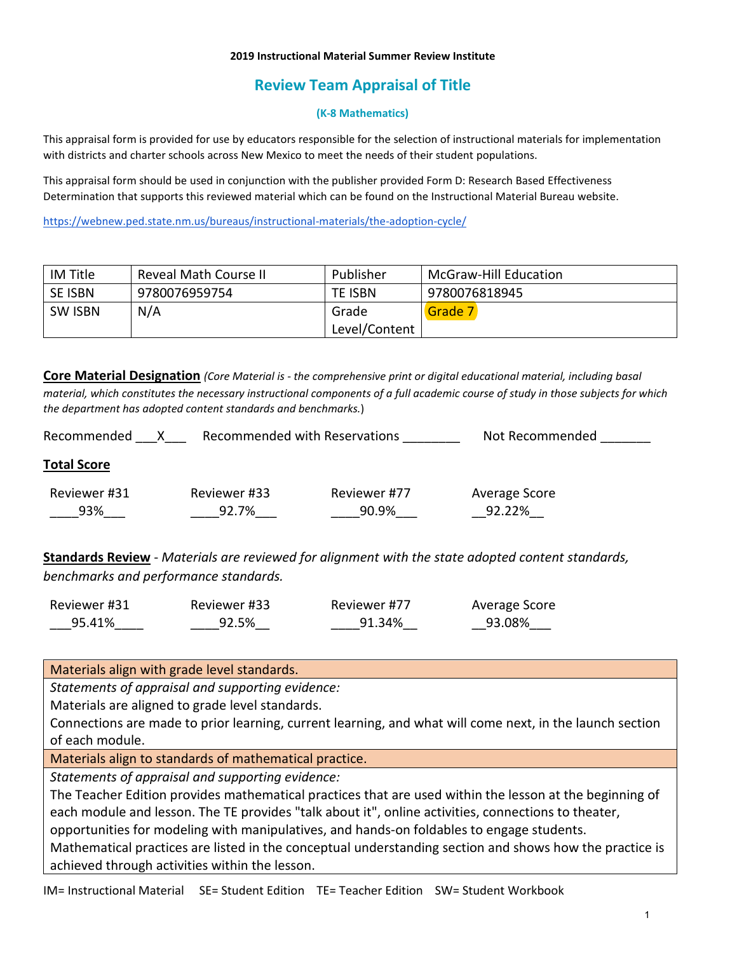### **2019 Instructional Material Summer Review Institute**

# **Review Team Appraisal of Title**

### **(K-8 Mathematics)**

This appraisal form is provided for use by educators responsible for the selection of instructional materials for implementation with districts and charter schools across New Mexico to meet the needs of their student populations.

This appraisal form should be used in conjunction with the publisher provided Form D: Research Based Effectiveness Determination that supports this reviewed material which can be found on the Instructional Material Bureau website.

<https://webnew.ped.state.nm.us/bureaus/instructional-materials/the-adoption-cycle/>

| IM Title       | Reveal Math Course II | Publisher      | McGraw-Hill Education |
|----------------|-----------------------|----------------|-----------------------|
| <b>SE ISBN</b> | 9780076959754         | <b>TE ISBN</b> | 9780076818945         |
| <b>SW ISBN</b> | N/A                   | Grade          | Grade 7               |
|                |                       | Level/Content  |                       |

**Core Material Designation** *(Core Material is - the comprehensive print or digital educational material, including basal material, which constitutes the necessary instructional components of a full academic course of study in those subjects for which the department has adopted content standards and benchmarks.*)

| Recommended<br>х    | Recommended with Reservations |                       | Not Recommended         |  |
|---------------------|-------------------------------|-----------------------|-------------------------|--|
| <b>Total Score</b>  |                               |                       |                         |  |
| Reviewer #31<br>93% | Reviewer #33<br>92.7%         | Reviewer #77<br>90.9% | Average Score<br>92.22% |  |

**Standards Review** - *Materials are reviewed for alignment with the state adopted content standards, benchmarks and performance standards.*

| Reviewer #31 | Reviewer #33 | Reviewer #77 | Average Score |
|--------------|--------------|--------------|---------------|
| 95.41%       | 92.5%        | 91.34%       | 93.08%        |

Materials align with grade level standards.

*Statements of appraisal and supporting evidence:*

Materials are aligned to grade level standards.

Connections are made to prior learning, current learning, and what will come next, in the launch section of each module.

Materials align to standards of mathematical practice.

*Statements of appraisal and supporting evidence:*

The Teacher Edition provides mathematical practices that are used within the lesson at the beginning of each module and lesson. The TE provides "talk about it", online activities, connections to theater, opportunities for modeling with manipulatives, and hands-on foldables to engage students. Mathematical practices are listed in the conceptual understanding section and shows how the practice is

achieved through activities within the lesson.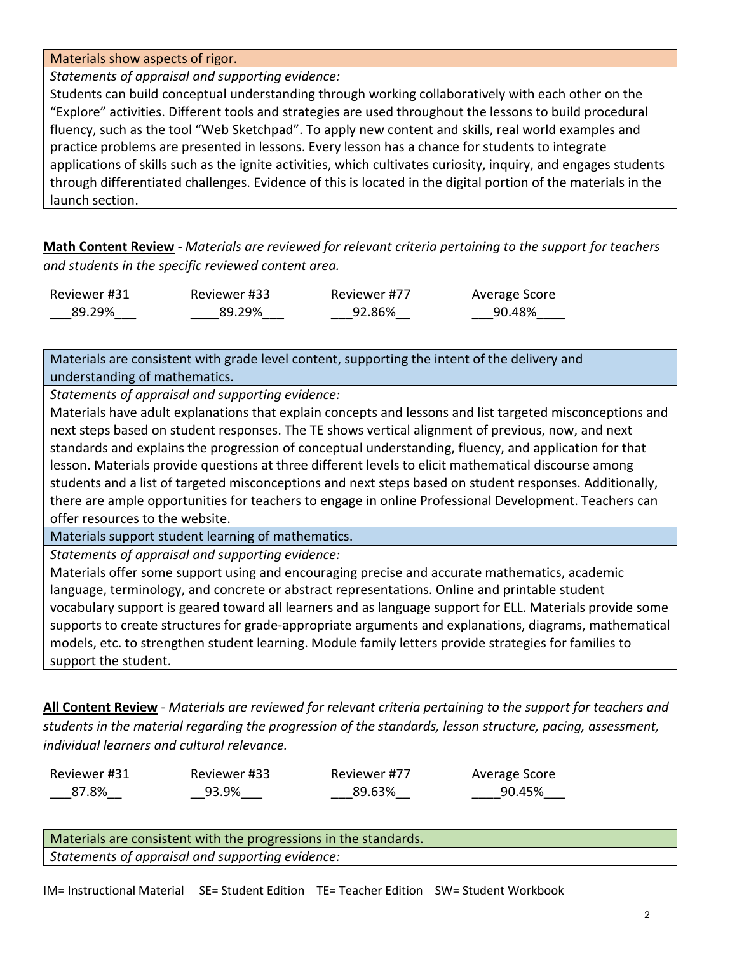Materials show aspects of rigor.

*Statements of appraisal and supporting evidence:*

Students can build conceptual understanding through working collaboratively with each other on the "Explore" activities. Different tools and strategies are used throughout the lessons to build procedural fluency, such as the tool "Web Sketchpad". To apply new content and skills, real world examples and practice problems are presented in lessons. Every lesson has a chance for students to integrate applications of skills such as the ignite activities, which cultivates curiosity, inquiry, and engages students through differentiated challenges. Evidence of this is located in the digital portion of the materials in the launch section.

**Math Content Review** - *Materials are reviewed for relevant criteria pertaining to the support for teachers and students in the specific reviewed content area.*

| Reviewer #31 | Reviewer #33 | Reviewer #77 | Average Score |
|--------------|--------------|--------------|---------------|
| 89.29%       | 89.29%       | 92.86%       | 90.48%        |

Materials are consistent with grade level content, supporting the intent of the delivery and understanding of mathematics.

*Statements of appraisal and supporting evidence:*

Materials have adult explanations that explain concepts and lessons and list targeted misconceptions and next steps based on student responses. The TE shows vertical alignment of previous, now, and next standards and explains the progression of conceptual understanding, fluency, and application for that lesson. Materials provide questions at three different levels to elicit mathematical discourse among students and a list of targeted misconceptions and next steps based on student responses. Additionally, there are ample opportunities for teachers to engage in online Professional Development. Teachers can offer resources to the website.

Materials support student learning of mathematics.

*Statements of appraisal and supporting evidence:*

Materials offer some support using and encouraging precise and accurate mathematics, academic language, terminology, and concrete or abstract representations. Online and printable student vocabulary support is geared toward all learners and as language support for ELL. Materials provide some supports to create structures for grade-appropriate arguments and explanations, diagrams, mathematical models, etc. to strengthen student learning. Module family letters provide strategies for families to support the student.

**All Content Review** - *Materials are reviewed for relevant criteria pertaining to the support for teachers and students in the material regarding the progression of the standards, lesson structure, pacing, assessment, individual learners and cultural relevance.*

Reviewer #31 \_\_\_87.8%\_\_

Reviewer #33 \_\_93.9%\_\_\_

Reviewer #77 \_\_\_89.63%\_\_

Average Score \_\_\_\_90.45%\_\_\_

Materials are consistent with the progressions in the standards. *Statements of appraisal and supporting evidence:*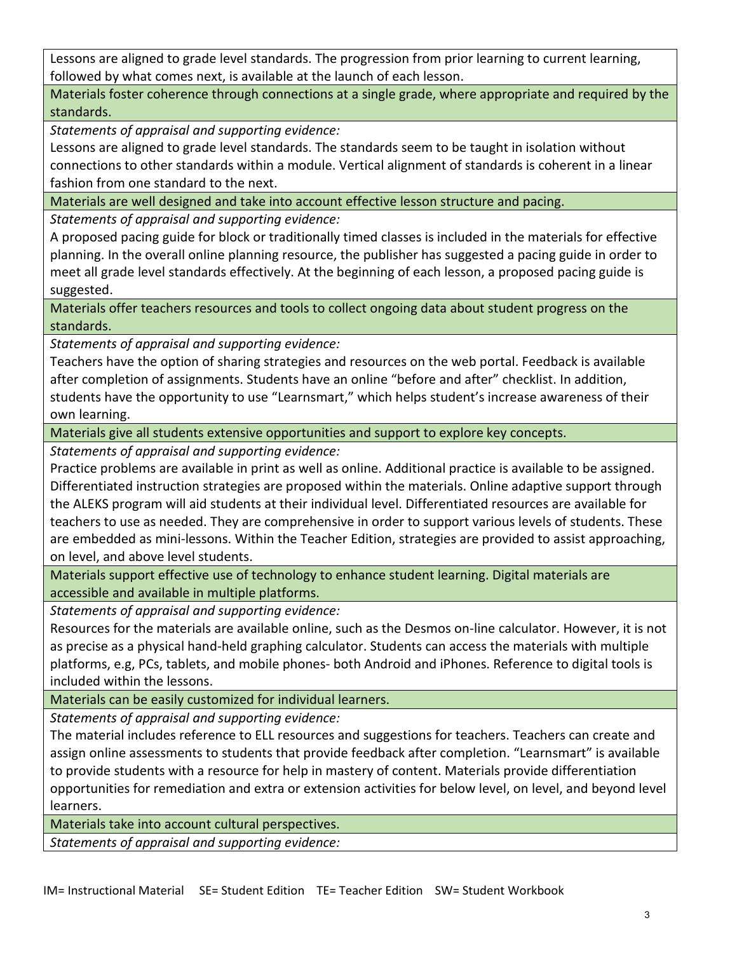Lessons are aligned to grade level standards. The progression from prior learning to current learning, followed by what comes next, is available at the launch of each lesson.

Materials foster coherence through connections at a single grade, where appropriate and required by the standards.

*Statements of appraisal and supporting evidence:*

Lessons are aligned to grade level standards. The standards seem to be taught in isolation without connections to other standards within a module. Vertical alignment of standards is coherent in a linear fashion from one standard to the next.

Materials are well designed and take into account effective lesson structure and pacing.

*Statements of appraisal and supporting evidence:*

A proposed pacing guide for block or traditionally timed classes is included in the materials for effective planning. In the overall online planning resource, the publisher has suggested a pacing guide in order to meet all grade level standards effectively. At the beginning of each lesson, a proposed pacing guide is suggested.

Materials offer teachers resources and tools to collect ongoing data about student progress on the standards.

*Statements of appraisal and supporting evidence:*

Teachers have the option of sharing strategies and resources on the web portal. Feedback is available after completion of assignments. Students have an online "before and after" checklist. In addition, students have the opportunity to use "Learnsmart," which helps student's increase awareness of their own learning.

Materials give all students extensive opportunities and support to explore key concepts.

*Statements of appraisal and supporting evidence:*

Practice problems are available in print as well as online. Additional practice is available to be assigned. Differentiated instruction strategies are proposed within the materials. Online adaptive support through the ALEKS program will aid students at their individual level. Differentiated resources are available for teachers to use as needed. They are comprehensive in order to support various levels of students. These are embedded as mini-lessons. Within the Teacher Edition, strategies are provided to assist approaching, on level, and above level students.

Materials support effective use of technology to enhance student learning. Digital materials are accessible and available in multiple platforms.

*Statements of appraisal and supporting evidence:*

Resources for the materials are available online, such as the Desmos on-line calculator. However, it is not as precise as a physical hand-held graphing calculator. Students can access the materials with multiple platforms, e.g, PCs, tablets, and mobile phones- both Android and iPhones. Reference to digital tools is included within the lessons.

Materials can be easily customized for individual learners.

*Statements of appraisal and supporting evidence:*

The material includes reference to ELL resources and suggestions for teachers. Teachers can create and assign online assessments to students that provide feedback after completion. "Learnsmart" is available to provide students with a resource for help in mastery of content. Materials provide differentiation opportunities for remediation and extra or extension activities for below level, on level, and beyond level learners.

Materials take into account cultural perspectives.

*Statements of appraisal and supporting evidence:*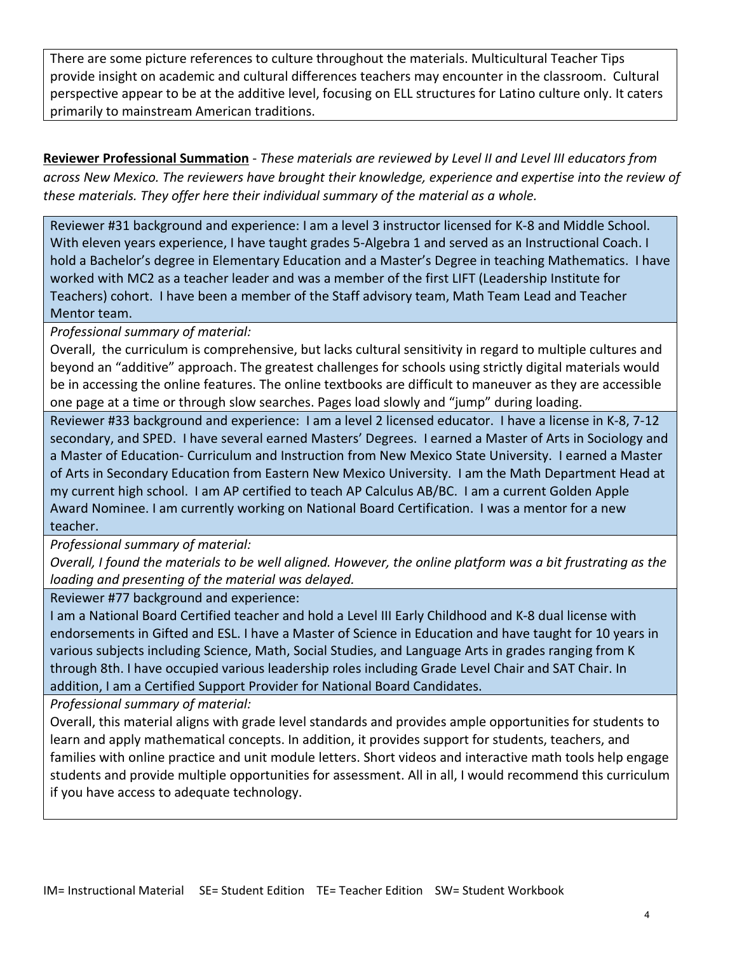There are some picture references to culture throughout the materials. Multicultural Teacher Tips provide insight on academic and cultural differences teachers may encounter in the classroom. Cultural perspective appear to be at the additive level, focusing on ELL structures for Latino culture only. It caters primarily to mainstream American traditions.

**Reviewer Professional Summation** - *These materials are reviewed by Level II and Level III educators from across New Mexico. The reviewers have brought their knowledge, experience and expertise into the review of these materials. They offer here their individual summary of the material as a whole.* 

Reviewer #31 background and experience: I am a level 3 instructor licensed for K-8 and Middle School. With eleven years experience, I have taught grades 5-Algebra 1 and served as an Instructional Coach. I hold a Bachelor's degree in Elementary Education and a Master's Degree in teaching Mathematics. I have worked with MC2 as a teacher leader and was a member of the first LIFT (Leadership Institute for Teachers) cohort. I have been a member of the Staff advisory team, Math Team Lead and Teacher Mentor team.

*Professional summary of material:*

Overall, the curriculum is comprehensive, but lacks cultural sensitivity in regard to multiple cultures and beyond an "additive" approach. The greatest challenges for schools using strictly digital materials would be in accessing the online features. The online textbooks are difficult to maneuver as they are accessible one page at a time or through slow searches. Pages load slowly and "jump" during loading.

Reviewer #33 background and experience: I am a level 2 licensed educator. I have a license in K-8, 7-12 secondary, and SPED. I have several earned Masters' Degrees. I earned a Master of Arts in Sociology and a Master of Education- Curriculum and Instruction from New Mexico State University. I earned a Master of Arts in Secondary Education from Eastern New Mexico University. I am the Math Department Head at my current high school. I am AP certified to teach AP Calculus AB/BC. I am a current Golden Apple Award Nominee. I am currently working on National Board Certification. I was a mentor for a new teacher.

*Professional summary of material:*

*Overall, I found the materials to be well aligned. However, the online platform was a bit frustrating as the loading and presenting of the material was delayed.*

Reviewer #77 background and experience:

I am a National Board Certified teacher and hold a Level III Early Childhood and K-8 dual license with endorsements in Gifted and ESL. I have a Master of Science in Education and have taught for 10 years in various subjects including Science, Math, Social Studies, and Language Arts in grades ranging from K through 8th. I have occupied various leadership roles including Grade Level Chair and SAT Chair. In addition, I am a Certified Support Provider for National Board Candidates.

*Professional summary of material:*

Overall, this material aligns with grade level standards and provides ample opportunities for students to learn and apply mathematical concepts. In addition, it provides support for students, teachers, and families with online practice and unit module letters. Short videos and interactive math tools help engage students and provide multiple opportunities for assessment. All in all, I would recommend this curriculum if you have access to adequate technology.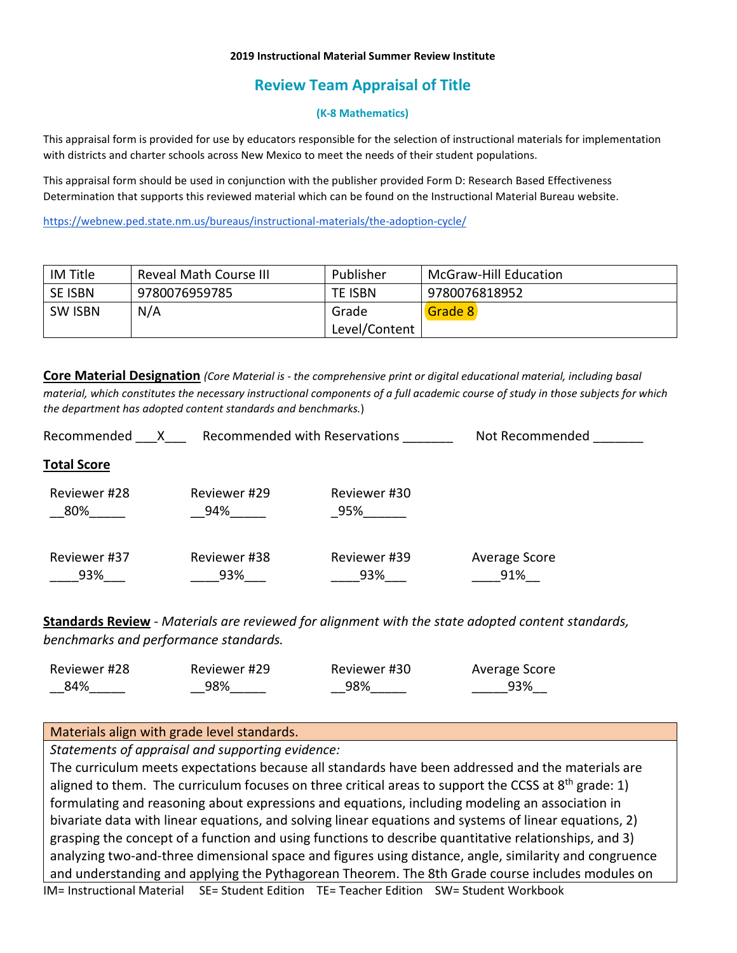### **2019 Instructional Material Summer Review Institute**

# **Review Team Appraisal of Title**

### **(K-8 Mathematics)**

This appraisal form is provided for use by educators responsible for the selection of instructional materials for implementation with districts and charter schools across New Mexico to meet the needs of their student populations.

This appraisal form should be used in conjunction with the publisher provided Form D: Research Based Effectiveness Determination that supports this reviewed material which can be found on the Instructional Material Bureau website.

<https://webnew.ped.state.nm.us/bureaus/instructional-materials/the-adoption-cycle/>

| IM Title       | Reveal Math Course III | Publisher      | McGraw-Hill Education |
|----------------|------------------------|----------------|-----------------------|
| SE ISBN        | 9780076959785          | <b>TE ISBN</b> | 9780076818952         |
| <b>SW ISBN</b> | N/A                    | Grade          | Grade 8               |
|                |                        | Level/Content  |                       |

**Core Material Designation** *(Core Material is - the comprehensive print or digital educational material, including basal material, which constitutes the necessary instructional components of a full academic course of study in those subjects for which the department has adopted content standards and benchmarks.*)

| Recommended         | Recommended with Reservations |                     | Not Recommended      |  |
|---------------------|-------------------------------|---------------------|----------------------|--|
| <b>Total Score</b>  |                               |                     |                      |  |
| Reviewer #28<br>80% | Reviewer #29<br>94%           | Reviewer #30<br>95% |                      |  |
| Reviewer #37<br>93% | Reviewer #38<br>93%           | Reviewer #39<br>93% | Average Score<br>91% |  |

**Standards Review** - *Materials are reviewed for alignment with the state adopted content standards, benchmarks and performance standards.*

| Reviewer #28 | Reviewer #29 | Reviewer #30 | Average Score |
|--------------|--------------|--------------|---------------|
| 84%          | 98%          | 98%          | 93%           |

### Materials align with grade level standards.

*Statements of appraisal and supporting evidence:*

IM= Instructional Material SE= Student Edition TE= Teacher Edition SW= Student Workbook The curriculum meets expectations because all standards have been addressed and the materials are aligned to them. The curriculum focuses on three critical areas to support the CCSS at  $8<sup>th</sup>$  grade: 1) formulating and reasoning about expressions and equations, including modeling an association in bivariate data with linear equations, and solving linear equations and systems of linear equations, 2) grasping the concept of a function and using functions to describe quantitative relationships, and 3) analyzing two-and-three dimensional space and figures using distance, angle, similarity and congruence and understanding and applying the Pythagorean Theorem. The 8th Grade course includes modules on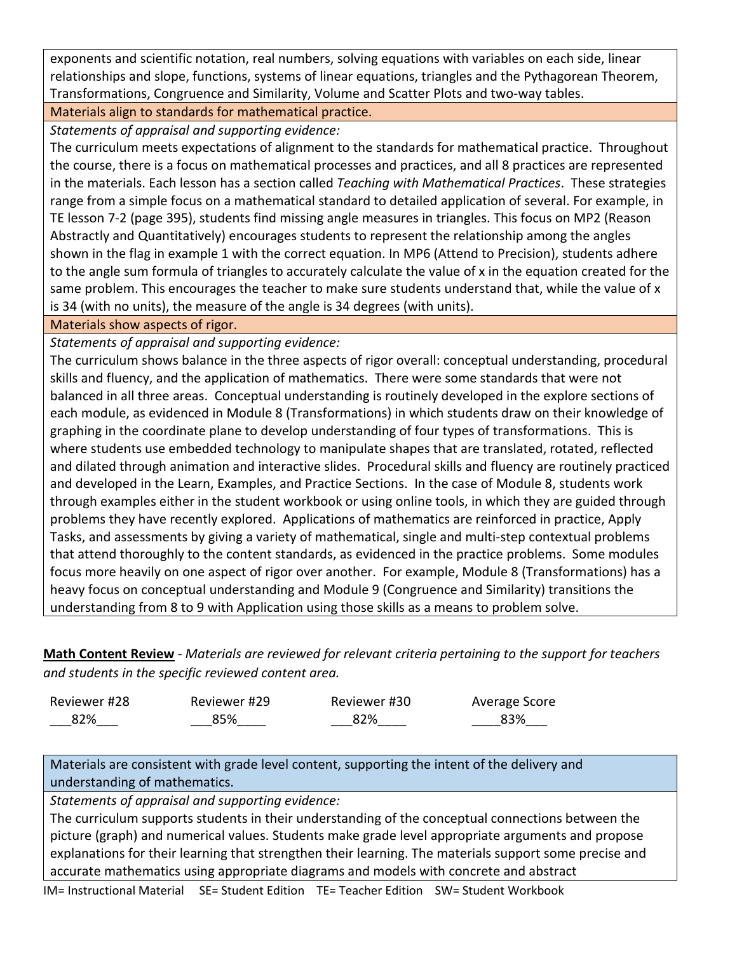exponents and scientific notation, real numbers, solving equations with variables on each side, linear relationships and slope, functions, systems of linear equations, triangles and the Pythagorean Theorem, Transformations, Congruence and Similarity, Volume and Scatter Plots and two-way tables.

## Materials align to standards for mathematical practice.

*Statements of appraisal and supporting evidence:*

The curriculum meets expectations of alignment to the standards for mathematical practice. Throughout the course, there is a focus on mathematical processes and practices, and all 8 practices are represented in the materials. Each lesson has a section called *Teaching with Mathematical Practices*. These strategies range from a simple focus on a mathematical standard to detailed application of several. For example, in TE lesson 7-2 (page 395), students find missing angle measures in triangles. This focus on MP2 (Reason Abstractly and Quantitatively) encourages students to represent the relationship among the angles shown in the flag in example 1 with the correct equation. In MP6 (Attend to Precision), students adhere to the angle sum formula of triangles to accurately calculate the value of x in the equation created for the same problem. This encourages the teacher to make sure students understand that, while the value of x is 34 (with no units), the measure of the angle is 34 degrees (with units).

Materials show aspects of rigor.

*Statements of appraisal and supporting evidence:*

The curriculum shows balance in the three aspects of rigor overall: conceptual understanding, procedural skills and fluency, and the application of mathematics. There were some standards that were not balanced in all three areas. Conceptual understanding is routinely developed in the explore sections of each module, as evidenced in Module 8 (Transformations) in which students draw on their knowledge of graphing in the coordinate plane to develop understanding of four types of transformations. This is where students use embedded technology to manipulate shapes that are translated, rotated, reflected and dilated through animation and interactive slides. Procedural skills and fluency are routinely practiced and developed in the Learn, Examples, and Practice Sections. In the case of Module 8, students work through examples either in the student workbook or using online tools, in which they are guided through problems they have recently explored. Applications of mathematics are reinforced in practice, Apply Tasks, and assessments by giving a variety of mathematical, single and multi-step contextual problems that attend thoroughly to the content standards, as evidenced in the practice problems. Some modules focus more heavily on one aspect of rigor over another. For example, Module 8 (Transformations) has a heavy focus on conceptual understanding and Module 9 (Congruence and Similarity) transitions the understanding from 8 to 9 with Application using those skills as a means to problem solve.

**Math Content Review** - *Materials are reviewed for relevant criteria pertaining to the support for teachers and students in the specific reviewed content area.*

| Reviewer #28 | Reviewer #29 | Reviewer #30 | Average Score |
|--------------|--------------|--------------|---------------|
| 82%          | 85%          | 82%          | 83%           |

Materials are consistent with grade level content, supporting the intent of the delivery and understanding of mathematics.

*Statements of appraisal and supporting evidence:*

The curriculum supports students in their understanding of the conceptual connections between the picture (graph) and numerical values. Students make grade level appropriate arguments and propose explanations for their learning that strengthen their learning. The materials support some precise and accurate mathematics using appropriate diagrams and models with concrete and abstract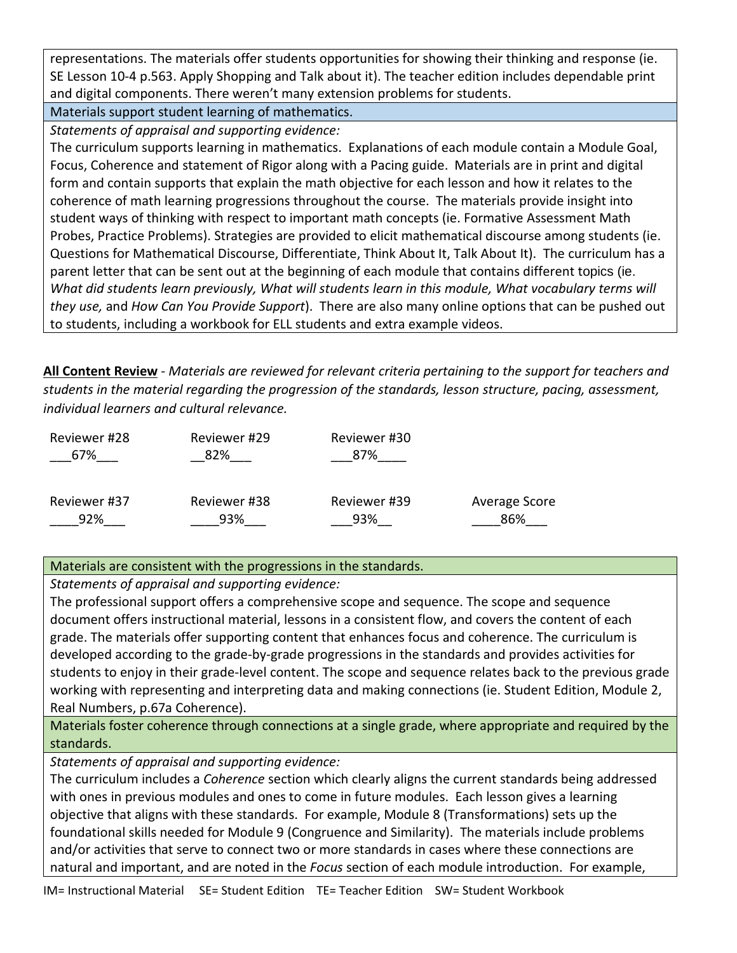representations. The materials offer students opportunities for showing their thinking and response (ie. SE Lesson 10-4 p.563. Apply Shopping and Talk about it). The teacher edition includes dependable print and digital components. There weren't many extension problems for students.

Materials support student learning of mathematics.

*Statements of appraisal and supporting evidence:*

The curriculum supports learning in mathematics. Explanations of each module contain a Module Goal, Focus, Coherence and statement of Rigor along with a Pacing guide. Materials are in print and digital form and contain supports that explain the math objective for each lesson and how it relates to the coherence of math learning progressions throughout the course. The materials provide insight into student ways of thinking with respect to important math concepts (ie. Formative Assessment Math Probes, Practice Problems). Strategies are provided to elicit mathematical discourse among students (ie. Questions for Mathematical Discourse, Differentiate, Think About It, Talk About It). The curriculum has a parent letter that can be sent out at the beginning of each module that contains different topics (ie. *What did students learn previously, What will students learn in this module, What vocabulary terms will they use,* and *How Can You Provide Support*). There are also many online options that can be pushed out to students, including a workbook for ELL students and extra example videos.

**All Content Review** - *Materials are reviewed for relevant criteria pertaining to the support for teachers and students in the material regarding the progression of the standards, lesson structure, pacing, assessment, individual learners and cultural relevance.*

| Reviewer #28 | Reviewer #29 | Reviewer #30 |               |
|--------------|--------------|--------------|---------------|
| 67%          | 82%          | 87%          |               |
|              |              |              |               |
| Reviewer #37 | Reviewer #38 | Reviewer #39 | Average Score |
| 92%          | 93%          | 93%          | 86%           |

# Materials are consistent with the progressions in the standards.

*Statements of appraisal and supporting evidence:*

The professional support offers a comprehensive scope and sequence. The scope and sequence document offers instructional material, lessons in a consistent flow, and covers the content of each grade. The materials offer supporting content that enhances focus and coherence. The curriculum is developed according to the grade-by-grade progressions in the standards and provides activities for students to enjoy in their grade-level content. The scope and sequence relates back to the previous grade working with representing and interpreting data and making connections (ie. Student Edition, Module 2, Real Numbers, p.67a Coherence).

Materials foster coherence through connections at a single grade, where appropriate and required by the standards.

*Statements of appraisal and supporting evidence:*

The curriculum includes a *Coherence* section which clearly aligns the current standards being addressed with ones in previous modules and ones to come in future modules. Each lesson gives a learning objective that aligns with these standards. For example, Module 8 (Transformations) sets up the foundational skills needed for Module 9 (Congruence and Similarity). The materials include problems and/or activities that serve to connect two or more standards in cases where these connections are natural and important, and are noted in the *Focus* section of each module introduction. For example,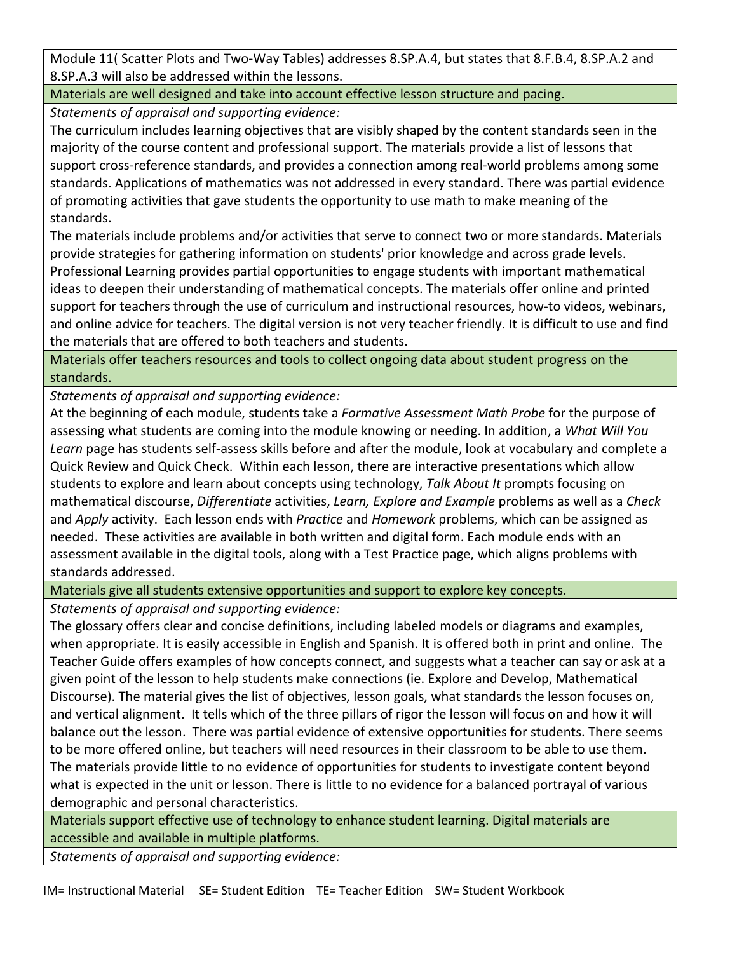Module 11( Scatter Plots and Two-Way Tables) addresses 8.SP.A.4, but states that 8.F.B.4, 8.SP.A.2 and 8.SP.A.3 will also be addressed within the lessons.

Materials are well designed and take into account effective lesson structure and pacing.

*Statements of appraisal and supporting evidence:*

The curriculum includes learning objectives that are visibly shaped by the content standards seen in the majority of the course content and professional support. The materials provide a list of lessons that support cross-reference standards, and provides a connection among real-world problems among some standards. Applications of mathematics was not addressed in every standard. There was partial evidence of promoting activities that gave students the opportunity to use math to make meaning of the standards.

The materials include problems and/or activities that serve to connect two or more standards. Materials provide strategies for gathering information on students' prior knowledge and across grade levels. Professional Learning provides partial opportunities to engage students with important mathematical ideas to deepen their understanding of mathematical concepts. The materials offer online and printed support for teachers through the use of curriculum and instructional resources, how-to videos, webinars, and online advice for teachers. The digital version is not very teacher friendly. It is difficult to use and find the materials that are offered to both teachers and students.

Materials offer teachers resources and tools to collect ongoing data about student progress on the standards.

*Statements of appraisal and supporting evidence:*

At the beginning of each module, students take a *Formative Assessment Math Probe* for the purpose of assessing what students are coming into the module knowing or needing. In addition, a *What Will You Learn* page has students self-assess skills before and after the module, look at vocabulary and complete a Quick Review and Quick Check. Within each lesson, there are interactive presentations which allow students to explore and learn about concepts using technology, *Talk About It* prompts focusing on mathematical discourse, *Differentiate* activities, *Learn, Explore and Example* problems as well as a *Check*  and *Apply* activity. Each lesson ends with *Practice* and *Homework* problems, which can be assigned as needed. These activities are available in both written and digital form. Each module ends with an assessment available in the digital tools, along with a Test Practice page, which aligns problems with standards addressed.

Materials give all students extensive opportunities and support to explore key concepts.

*Statements of appraisal and supporting evidence:*

The glossary offers clear and concise definitions, including labeled models or diagrams and examples, when appropriate. It is easily accessible in English and Spanish. It is offered both in print and online. The Teacher Guide offers examples of how concepts connect, and suggests what a teacher can say or ask at a given point of the lesson to help students make connections (ie. Explore and Develop, Mathematical Discourse). The material gives the list of objectives, lesson goals, what standards the lesson focuses on, and vertical alignment. It tells which of the three pillars of rigor the lesson will focus on and how it will balance out the lesson. There was partial evidence of extensive opportunities for students. There seems to be more offered online, but teachers will need resources in their classroom to be able to use them. The materials provide little to no evidence of opportunities for students to investigate content beyond what is expected in the unit or lesson. There is little to no evidence for a balanced portrayal of various demographic and personal characteristics.

Materials support effective use of technology to enhance student learning. Digital materials are accessible and available in multiple platforms.

*Statements of appraisal and supporting evidence:*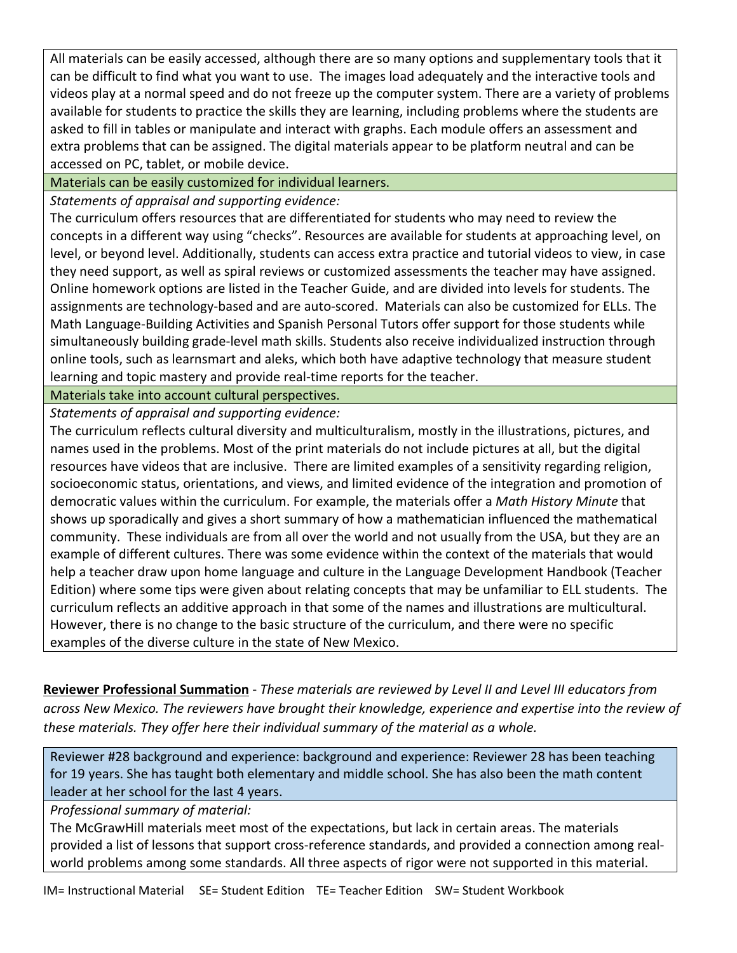All materials can be easily accessed, although there are so many options and supplementary tools that it can be difficult to find what you want to use. The images load adequately and the interactive tools and videos play at a normal speed and do not freeze up the computer system. There are a variety of problems available for students to practice the skills they are learning, including problems where the students are asked to fill in tables or manipulate and interact with graphs. Each module offers an assessment and extra problems that can be assigned. The digital materials appear to be platform neutral and can be accessed on PC, tablet, or mobile device.

Materials can be easily customized for individual learners.

*Statements of appraisal and supporting evidence:*

The curriculum offers resources that are differentiated for students who may need to review the concepts in a different way using "checks". Resources are available for students at approaching level, on level, or beyond level. Additionally, students can access extra practice and tutorial videos to view, in case they need support, as well as spiral reviews or customized assessments the teacher may have assigned. Online homework options are listed in the Teacher Guide, and are divided into levels for students. The assignments are technology-based and are auto-scored. Materials can also be customized for ELLs. The Math Language-Building Activities and Spanish Personal Tutors offer support for those students while simultaneously building grade-level math skills. Students also receive individualized instruction through online tools, such as learnsmart and aleks, which both have adaptive technology that measure student learning and topic mastery and provide real-time reports for the teacher.

Materials take into account cultural perspectives.

*Statements of appraisal and supporting evidence:*

The curriculum reflects cultural diversity and multiculturalism, mostly in the illustrations, pictures, and names used in the problems. Most of the print materials do not include pictures at all, but the digital resources have videos that are inclusive. There are limited examples of a sensitivity regarding religion, socioeconomic status, orientations, and views, and limited evidence of the integration and promotion of democratic values within the curriculum. For example, the materials offer a *Math History Minute* that shows up sporadically and gives a short summary of how a mathematician influenced the mathematical community. These individuals are from all over the world and not usually from the USA, but they are an example of different cultures. There was some evidence within the context of the materials that would help a teacher draw upon home language and culture in the Language Development Handbook (Teacher Edition) where some tips were given about relating concepts that may be unfamiliar to ELL students. The curriculum reflects an additive approach in that some of the names and illustrations are multicultural. However, there is no change to the basic structure of the curriculum, and there were no specific examples of the diverse culture in the state of New Mexico.

**Reviewer Professional Summation** - *These materials are reviewed by Level II and Level III educators from across New Mexico. The reviewers have brought their knowledge, experience and expertise into the review of these materials. They offer here their individual summary of the material as a whole.* 

Reviewer #28 background and experience: background and experience: Reviewer 28 has been teaching for 19 years. She has taught both elementary and middle school. She has also been the math content leader at her school for the last 4 years.

*Professional summary of material:*

The McGrawHill materials meet most of the expectations, but lack in certain areas. The materials provided a list of lessons that support cross-reference standards, and provided a connection among realworld problems among some standards. All three aspects of rigor were not supported in this material.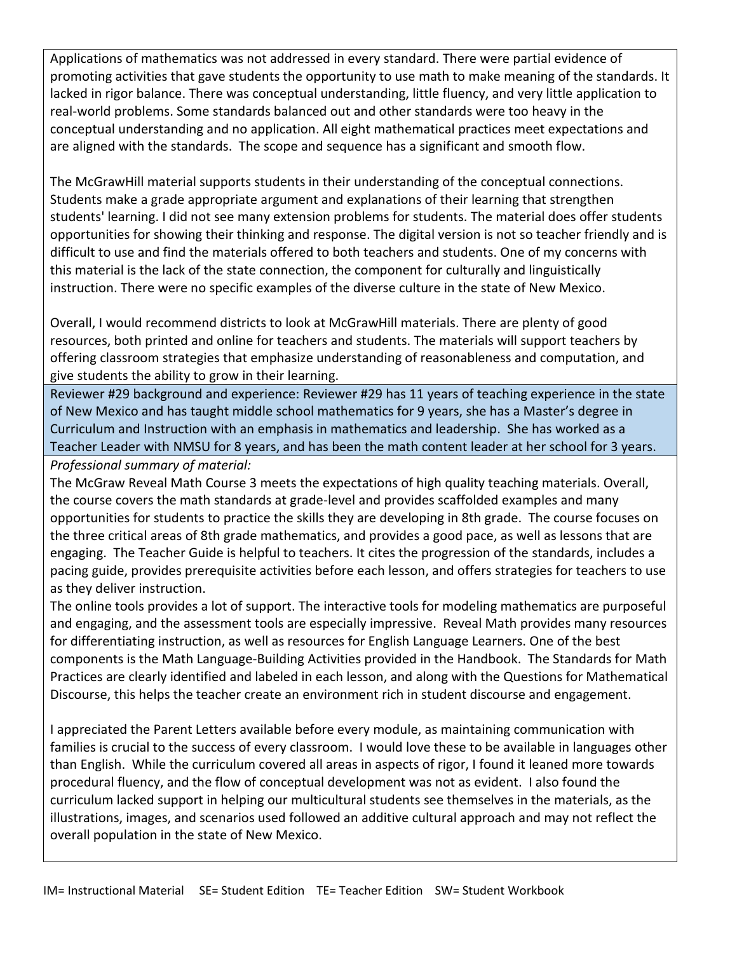Applications of mathematics was not addressed in every standard. There were partial evidence of promoting activities that gave students the opportunity to use math to make meaning of the standards. It lacked in rigor balance. There was conceptual understanding, little fluency, and very little application to real-world problems. Some standards balanced out and other standards were too heavy in the conceptual understanding and no application. All eight mathematical practices meet expectations and are aligned with the standards. The scope and sequence has a significant and smooth flow.

The McGrawHill material supports students in their understanding of the conceptual connections. Students make a grade appropriate argument and explanations of their learning that strengthen students' learning. I did not see many extension problems for students. The material does offer students opportunities for showing their thinking and response. The digital version is not so teacher friendly and is difficult to use and find the materials offered to both teachers and students. One of my concerns with this material is the lack of the state connection, the component for culturally and linguistically instruction. There were no specific examples of the diverse culture in the state of New Mexico.

Overall, I would recommend districts to look at McGrawHill materials. There are plenty of good resources, both printed and online for teachers and students. The materials will support teachers by offering classroom strategies that emphasize understanding of reasonableness and computation, and give students the ability to grow in their learning.

Reviewer #29 background and experience: Reviewer #29 has 11 years of teaching experience in the state of New Mexico and has taught middle school mathematics for 9 years, she has a Master's degree in Curriculum and Instruction with an emphasis in mathematics and leadership. She has worked as a Teacher Leader with NMSU for 8 years, and has been the math content leader at her school for 3 years. *Professional summary of material:*

The McGraw Reveal Math Course 3 meets the expectations of high quality teaching materials. Overall, the course covers the math standards at grade-level and provides scaffolded examples and many opportunities for students to practice the skills they are developing in 8th grade. The course focuses on the three critical areas of 8th grade mathematics, and provides a good pace, as well as lessons that are engaging. The Teacher Guide is helpful to teachers. It cites the progression of the standards, includes a pacing guide, provides prerequisite activities before each lesson, and offers strategies for teachers to use as they deliver instruction.

The online tools provides a lot of support. The interactive tools for modeling mathematics are purposeful and engaging, and the assessment tools are especially impressive. Reveal Math provides many resources for differentiating instruction, as well as resources for English Language Learners. One of the best components is the Math Language-Building Activities provided in the Handbook. The Standards for Math Practices are clearly identified and labeled in each lesson, and along with the Questions for Mathematical Discourse, this helps the teacher create an environment rich in student discourse and engagement.

I appreciated the Parent Letters available before every module, as maintaining communication with families is crucial to the success of every classroom. I would love these to be available in languages other than English. While the curriculum covered all areas in aspects of rigor, I found it leaned more towards procedural fluency, and the flow of conceptual development was not as evident. I also found the curriculum lacked support in helping our multicultural students see themselves in the materials, as the illustrations, images, and scenarios used followed an additive cultural approach and may not reflect the overall population in the state of New Mexico.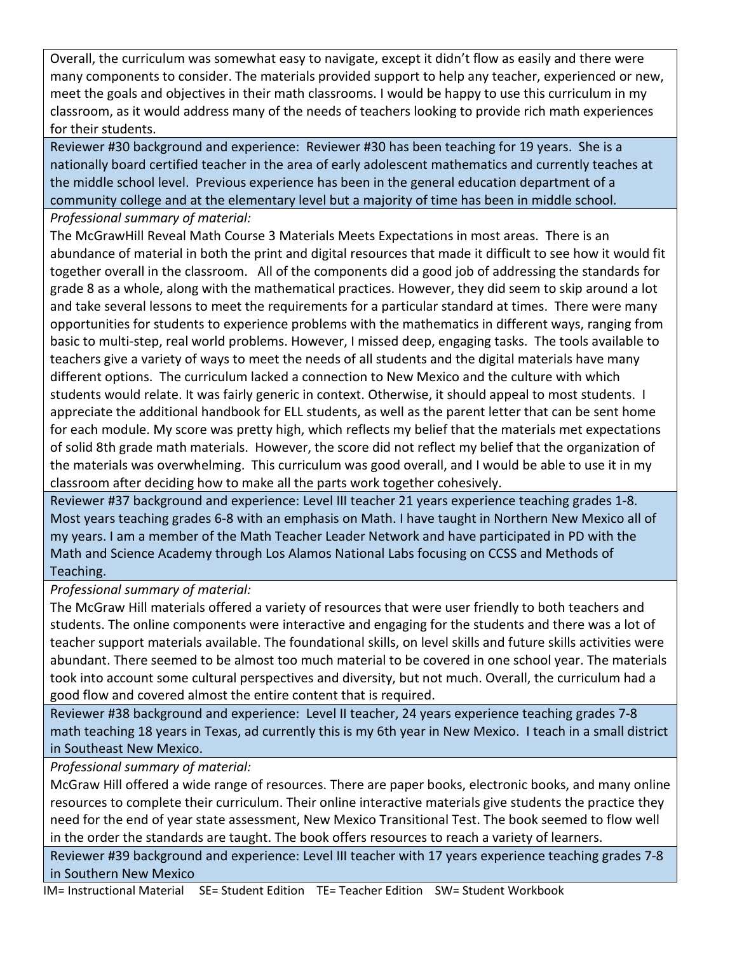Overall, the curriculum was somewhat easy to navigate, except it didn't flow as easily and there were many components to consider. The materials provided support to help any teacher, experienced or new, meet the goals and objectives in their math classrooms. I would be happy to use this curriculum in my classroom, as it would address many of the needs of teachers looking to provide rich math experiences for their students.

Reviewer #30 background and experience: Reviewer #30 has been teaching for 19 years. She is a nationally board certified teacher in the area of early adolescent mathematics and currently teaches at the middle school level. Previous experience has been in the general education department of a community college and at the elementary level but a majority of time has been in middle school.

## *Professional summary of material:*

The McGrawHill Reveal Math Course 3 Materials Meets Expectations in most areas. There is an abundance of material in both the print and digital resources that made it difficult to see how it would fit together overall in the classroom. All of the components did a good job of addressing the standards for grade 8 as a whole, along with the mathematical practices. However, they did seem to skip around a lot and take several lessons to meet the requirements for a particular standard at times. There were many opportunities for students to experience problems with the mathematics in different ways, ranging from basic to multi-step, real world problems. However, I missed deep, engaging tasks. The tools available to teachers give a variety of ways to meet the needs of all students and the digital materials have many different options. The curriculum lacked a connection to New Mexico and the culture with which students would relate. It was fairly generic in context. Otherwise, it should appeal to most students. I appreciate the additional handbook for ELL students, as well as the parent letter that can be sent home for each module. My score was pretty high, which reflects my belief that the materials met expectations of solid 8th grade math materials. However, the score did not reflect my belief that the organization of the materials was overwhelming. This curriculum was good overall, and I would be able to use it in my classroom after deciding how to make all the parts work together cohesively.

Reviewer #37 background and experience: Level III teacher 21 years experience teaching grades 1-8. Most years teaching grades 6-8 with an emphasis on Math. I have taught in Northern New Mexico all of my years. I am a member of the Math Teacher Leader Network and have participated in PD with the Math and Science Academy through Los Alamos National Labs focusing on CCSS and Methods of Teaching.

*Professional summary of material:*

The McGraw Hill materials offered a variety of resources that were user friendly to both teachers and students. The online components were interactive and engaging for the students and there was a lot of teacher support materials available. The foundational skills, on level skills and future skills activities were abundant. There seemed to be almost too much material to be covered in one school year. The materials took into account some cultural perspectives and diversity, but not much. Overall, the curriculum had a good flow and covered almost the entire content that is required.

Reviewer #38 background and experience: Level II teacher, 24 years experience teaching grades 7-8 math teaching 18 years in Texas, ad currently this is my 6th year in New Mexico. I teach in a small district in Southeast New Mexico.

*Professional summary of material:*

McGraw Hill offered a wide range of resources. There are paper books, electronic books, and many online resources to complete their curriculum. Their online interactive materials give students the practice they need for the end of year state assessment, New Mexico Transitional Test. The book seemed to flow well in the order the standards are taught. The book offers resources to reach a variety of learners.

Reviewer #39 background and experience: Level III teacher with 17 years experience teaching grades 7-8 in Southern New Mexico